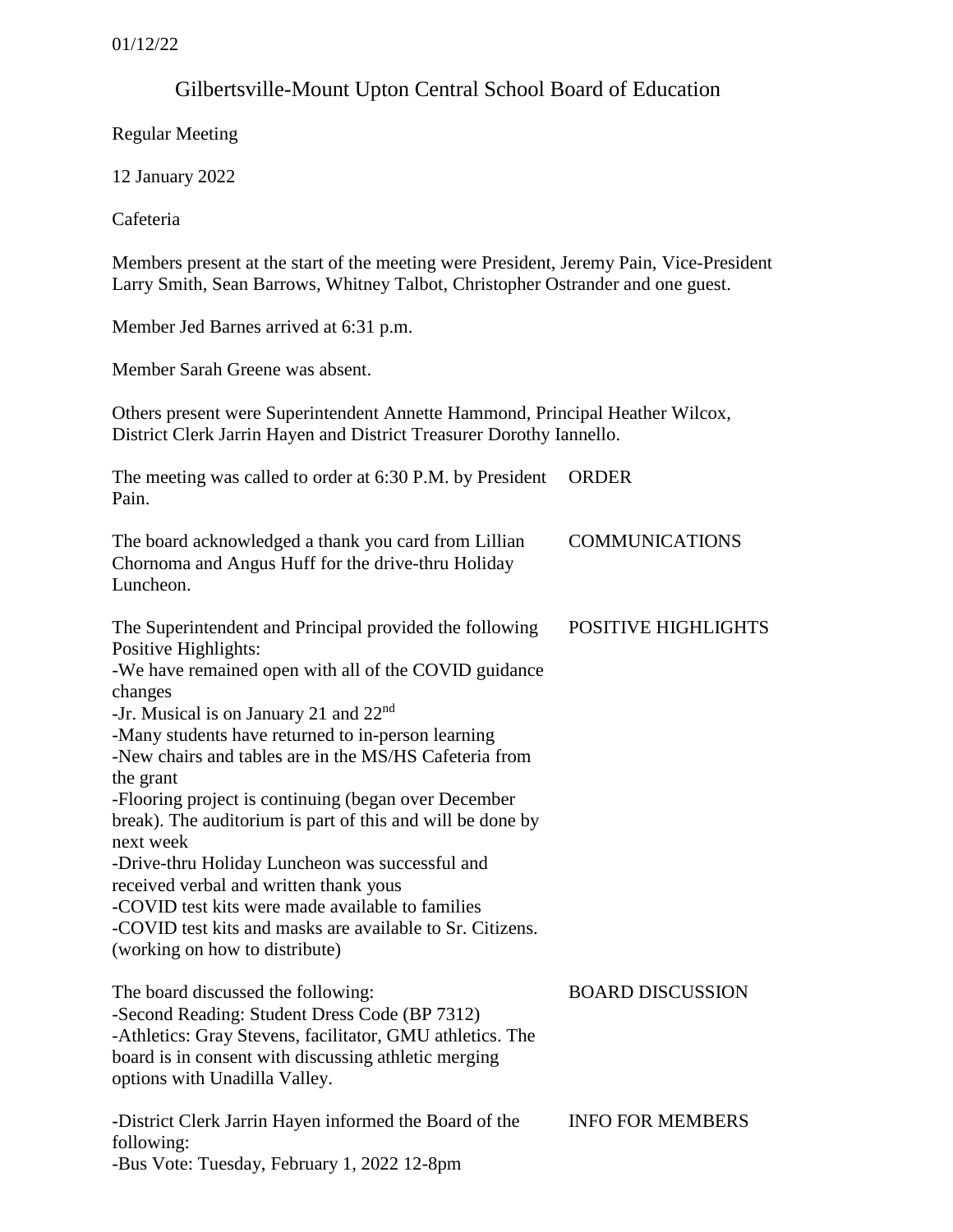# Gilbertsville-Mount Upton Central School Board of Education

Regular Meeting

12 January 2022

Cafeteria

Members present at the start of the meeting were President, Jeremy Pain, Vice-President Larry Smith, Sean Barrows, Whitney Talbot, Christopher Ostrander and one guest.

Member Jed Barnes arrived at 6:31 p.m.

Member Sarah Greene was absent.

Others present were Superintendent Annette Hammond, Principal Heather Wilcox, District Clerk Jarrin Hayen and District Treasurer Dorothy Iannello.

| The meeting was called to order at 6:30 P.M. by President ORDER |  |
|-----------------------------------------------------------------|--|
| Pain.                                                           |  |

| The board acknowledged a thank you card from Lillian | <b>COMMUNICATIONS</b> |
|------------------------------------------------------|-----------------------|
| Chornoma and Angus Huff for the drive-thru Holiday   |                       |
| Luncheon.                                            |                       |
|                                                      |                       |

POSITIVE HIGHLIGHTS

Positive Highlights: -We have remained open with all of the COVID guidance changes

The Superintendent and Principal provided the following

-Jr. Musical is on January 21 and 22nd

-Many students have returned to in-person learning

-New chairs and tables are in the MS/HS Cafeteria from the grant

-Flooring project is continuing (began over December

break). The auditorium is part of this and will be done by next week

-Drive-thru Holiday Luncheon was successful and received verbal and written thank yous -COVID test kits were made available to families

-COVID test kits and masks are available to Sr. Citizens.

(working on how to distribute)

| The board discussed the following:                        | <b>BOARD DISCUSSION</b> |
|-----------------------------------------------------------|-------------------------|
| -Second Reading: Student Dress Code (BP 7312)             |                         |
| -Athletics: Gray Stevens, facilitator, GMU athletics. The |                         |
| board is in consent with discussing athletic merging      |                         |
| options with Unadilla Valley.                             |                         |
|                                                           |                         |
|                                                           |                         |

-District Clerk Jarrin Hayen informed the Board of the following: -Bus Vote: Tuesday, February 1, 2022 12-8pm INFO FOR MEMBERS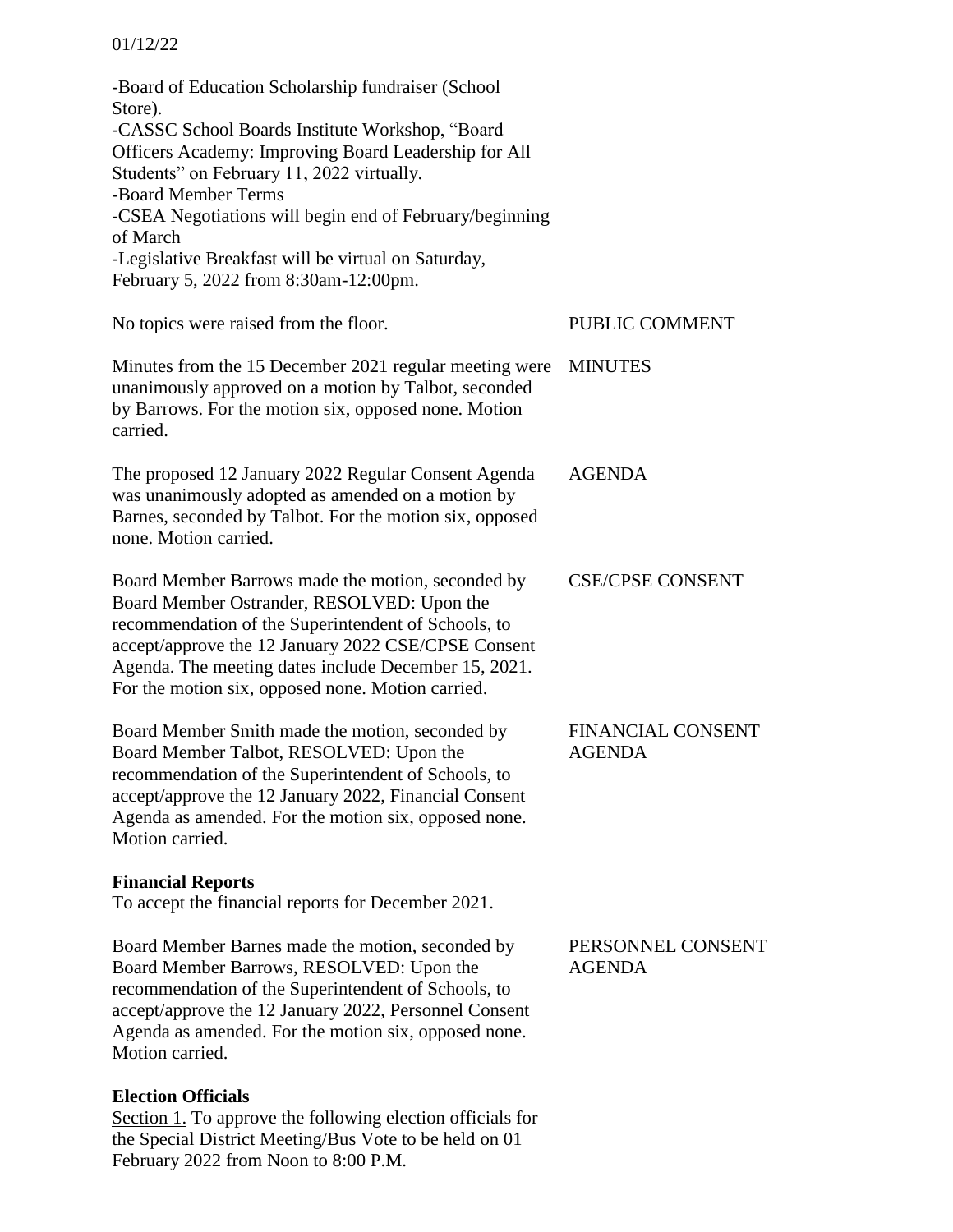#### 01/12/22

-Board of Education Scholarship fundraiser (School Store). -CASSC School Boards Institute Workshop, "Board Officers Academy: Improving Board Leadership for All Students" on February 11, 2022 virtually. -Board Member Terms -CSEA Negotiations will begin end of February/beginning of March -Legislative Breakfast will be virtual on Saturday, February 5, 2022 from 8:30am-12:00pm. No topics were raised from the floor. Minutes from the 15 December 2021 regular meeting were MINUTES unanimously approved on a motion by Talbot, seconded by Barrows. For the motion six, opposed none. Motion carried. The proposed 12 January 2022 Regular Consent Agenda was unanimously adopted as amended on a motion by Barnes, seconded by Talbot. For the motion six, opposed none. Motion carried. Board Member Barrows made the motion, seconded by Board Member Ostrander, RESOLVED: Upon the recommendation of the Superintendent of Schools, to accept/approve the 12 January 2022 CSE/CPSE Consent Agenda. The meeting dates include December 15, 2021. For the motion six, opposed none. Motion carried. Board Member Smith made the motion, seconded by Board Member Talbot, RESOLVED: Upon the recommendation of the Superintendent of Schools, to accept/approve the 12 January 2022, Financial Consent Agenda as amended. For the motion six, opposed none. Motion carried. **Financial Reports**  To accept the financial reports for December 2021. Board Member Barnes made the motion, seconded by Board Member Barrows, RESOLVED: Upon the recommendation of the Superintendent of Schools, to accept/approve the 12 January 2022, Personnel Consent Agenda as amended. For the motion six, opposed none. Motion carried. **Election Officials**  Section 1. To approve the following election officials for the Special District Meeting/Bus Vote to be held on 01 PUBLIC COMMENT AGENDA CSE/CPSE CONSENT FINANCIAL CONSENT AGENDA PERSONNEL CONSENT AGENDA

February 2022 from Noon to 8:00 P.M.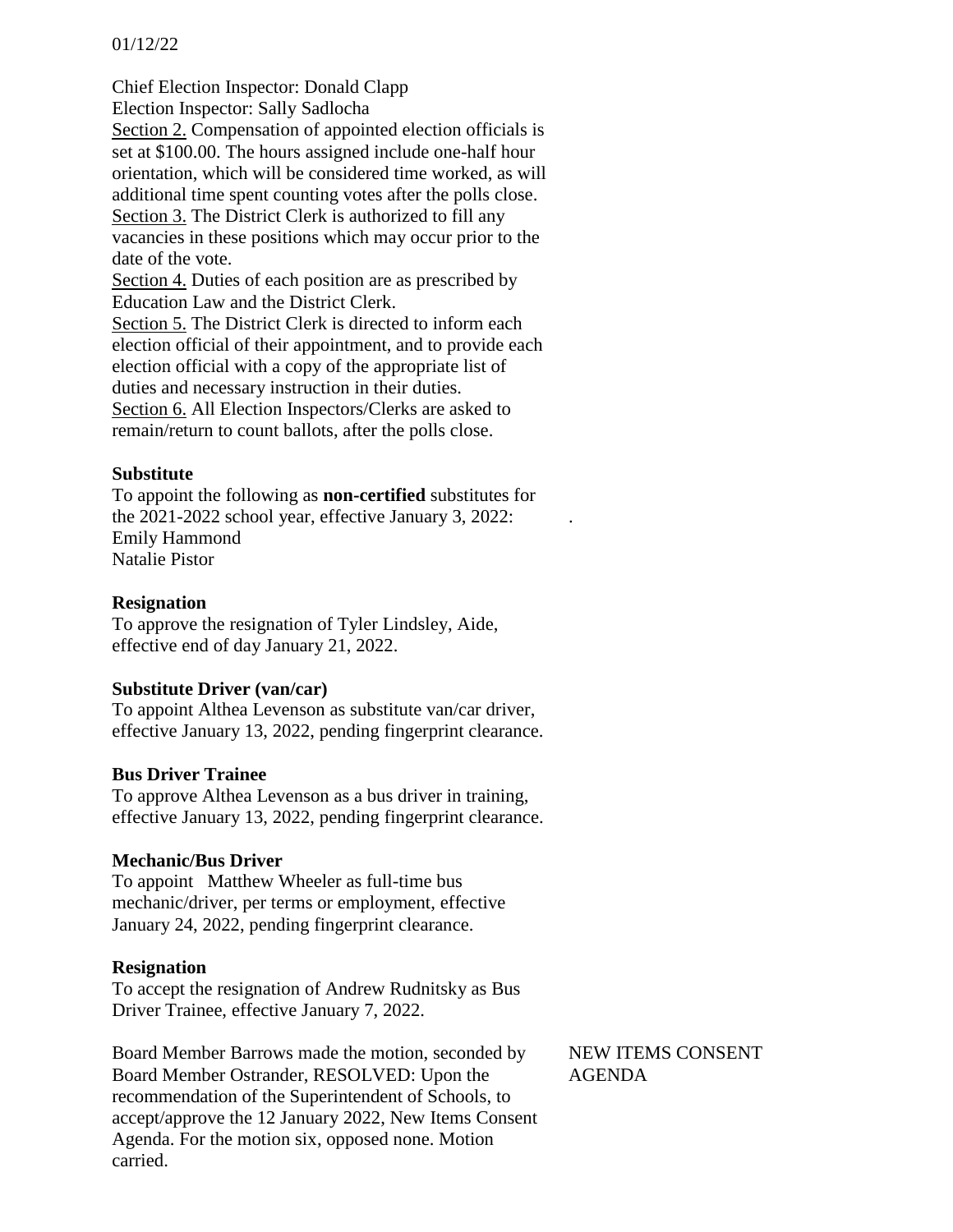#### 01/12/22

Chief Election Inspector: Donald Clapp Election Inspector: Sally Sadlocha Section 2. Compensation of appointed election officials is set at \$100.00. The hours assigned include one-half hour orientation, which will be considered time worked, as will additional time spent counting votes after the polls close. Section 3. The District Clerk is authorized to fill any vacancies in these positions which may occur prior to the date of the vote. Section 4. Duties of each position are as prescribed by Education Law and the District Clerk. Section 5. The District Clerk is directed to inform each election official of their appointment, and to provide each

election official with a copy of the appropriate list of duties and necessary instruction in their duties. Section 6. All Election Inspectors/Clerks are asked to remain/return to count ballots, after the polls close.

#### **Substitute**

To appoint the following as **non-certified** substitutes for the 2021-2022 school year, effective January 3, 2022: Emily Hammond Natalie Pistor

## **Resignation**

To approve the resignation of Tyler Lindsley, Aide, effective end of day January 21, 2022.

## **Substitute Driver (van/car)**

To appoint Althea Levenson as substitute van/car driver, effective January 13, 2022, pending fingerprint clearance.

## **Bus Driver Trainee**

To approve Althea Levenson as a bus driver in training, effective January 13, 2022, pending fingerprint clearance.

#### **Mechanic/Bus Driver**

To appoint Matthew Wheeler as full-time bus mechanic/driver, per terms or employment, effective January 24, 2022, pending fingerprint clearance.

#### **Resignation**

To accept the resignation of Andrew Rudnitsky as Bus Driver Trainee, effective January 7, 2022.

Board Member Barrows made the motion, seconded by Board Member Ostrander, RESOLVED: Upon the recommendation of the Superintendent of Schools, to accept/approve the 12 January 2022, New Items Consent Agenda. For the motion six, opposed none. Motion carried.

NEW ITEMS CONSENT AGENDA

.